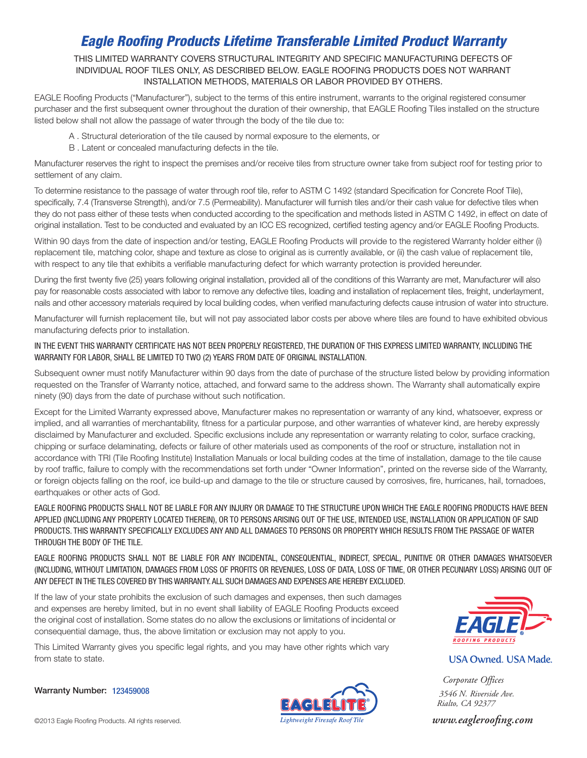# *Eagle Roofing Products Lifetime Transferable Limited Product Warranty*

THIS LIMITED WARRANTY COVERS STRUCTURAL INTEGRITY AND SPECIFIC MANUFACTURING DEFECTS OF INDIVIDUAL ROOF TILES ONLY, AS DESCRIBED BELOW. EAGLE ROOFING PRODUCTS DOES NOT WARRANT INSTALLATION METHODS, MATERIALS OR LABOR PROVIDED BY OTHERS.

EAGLE Roofing Products ("Manufacturer"), subject to the terms of this entire instrument, warrants to the original registered consumer purchaser and the first subsequent owner throughout the duration of their ownership, that EAGLE Roofing Tiles installed on the structure listed below shall not allow the passage of water through the body of the tile due to:

- A . Structural deterioration of the tile caused by normal exposure to the elements, or
- B . Latent or concealed manufacturing defects in the tile.

Manufacturer reserves the right to inspect the premises and/or receive tiles from structure owner take from subject roof for testing prior to settlement of any claim.

To determine resistance to the passage of water through roof tile, refer to ASTM C 1492 (standard Specification for Concrete Roof Tile), specifically, 7.4 (Transverse Strength), and/or 7.5 (Permeability). Manufacturer will furnish tiles and/or their cash value for defective tiles when they do not pass either of these tests when conducted according to the specification and methods listed in ASTM C 1492, in effect on date of original installation. Test to be conducted and evaluated by an ICC ES recognized, certified testing agency and/or EAGLE Roofing Products.

Within 90 days from the date of inspection and/or testing, EAGLE Roofing Products will provide to the registered Warranty holder either (i) replacement tile, matching color, shape and texture as close to original as is currently available, or (ii) the cash value of replacement tile, with respect to any tile that exhibits a verifiable manufacturing defect for which warranty protection is provided hereunder.

During the first twenty five (25) years following original installation, provided all of the conditions of this Warranty are met, Manufacturer will also pay for reasonable costs associated with labor to remove any defective tiles, loading and installation of replacement tiles, freight, underlayment, nails and other accessory materials required by local building codes, when verified manufacturing defects cause intrusion of water into structure.

Manufacturer will furnish replacement tile, but will not pay associated labor costs per above where tiles are found to have exhibited obvious manufacturing defects prior to installation.

### IN THE EVENT THIS WARRANTY CERTIFICATE HAS NOT BEEN PROPERLY REGISTERED, THE DURATION OF THIS EXPRESS LIMITED WARRANTY, INCLUDING THE WARRANTY FOR LABOR, SHALL BE LIMITED TO TWO (2) YEARS FROM DATE OF ORIGINAL INSTALLATION.

Subsequent owner must notify Manufacturer within 90 days from the date of purchase of the structure listed below by providing information requested on the Transfer of Warranty notice, attached, and forward same to the address shown. The Warranty shall automatically expire ninety (90) days from the date of purchase without such notification.

Except for the Limited Warranty expressed above, Manufacturer makes no representation or warranty of any kind, whatsoever, express or implied, and all warranties of merchantability, fitness for a particular purpose, and other warranties of whatever kind, are hereby expressly disclaimed by Manufacturer and excluded. Specific exclusions include any representation or warranty relating to color, surface cracking, chipping or surface delaminating, defects or failure of other materials used as components of the roof or structure, installation not in accordance with TRI (Tile Roofing Institute) Installation Manuals or local building codes at the time of installation, damage to the tile cause by roof traffic, failure to comply with the recommendations set forth under "Owner Information", printed on the reverse side of the Warranty, or foreign objects falling on the roof, ice build-up and damage to the tile or structure caused by corrosives, fire, hurricanes, hail, tornadoes, earthquakes or other acts of God.

EAGLE ROOFING PRODUCTS SHALL NOT BE LIABLE FOR ANY INJURY OR DAMAGE TO THE STRUCTURE UPON WHICH THE EAGLE ROOFING PRODUCTS HAVE BEEN APPLIED (INCLUDING ANY PROPERTY LOCATED THEREIN), OR TO PERSONS ARISING OUT OF THE USE, INTENDED USE, INSTALLATION OR APPLICATION OF SAID PRODUCTS. THIS WARRANTY SPECIFICALLY EXCLUDES ANY AND ALL DAMAGES TO PERSONS OR PROPERTY WHICH RESULTS FROM THE PASSAGE OF WATER THROUGH THE BODY OF THE TILE.

EAGLE ROOFING PRODUCTS SHALL NOT BE LIABLE FOR ANY INCIDENTAL, CONSEQUENTIAL, INDIRECT, SPECIAL, PUNITIVE OR OTHER DAMAGES WHATSOEVER (INCLUDING, WITHOUT LIMITATION, DAMAGES FROM LOSS OF PROFITS OR REVENUES, LOSS OF DATA, LOSS OF TIME, OR OTHER PECUNIARY LOSS) ARISING OUT OF ANY DEFECT IN THE TILES COVERED BY THIS WARRANTY. ALL SUCH DAMAGES AND EXPENSES ARE HEREBY EXCLUDED.

If the law of your state prohibits the exclusion of such damages and expenses, then such damages and expenses are hereby limited, but in no event shall liability of EAGLE Roofing Products exceed the original cost of installation. Some states do no allow the exclusions or limitations of incidental or consequential damage, thus, the above limitation or exclusion may not apply to you.

This Limited Warranty gives you specific legal rights, and you may have other rights which vary from state to state.

Warranty Number: 123459008





**USA Owned. USA Made.** 

*Corporate Offices 3546 N. Riverside Ave. Rialto, CA 92377*

 *www.eagleroofing.com*